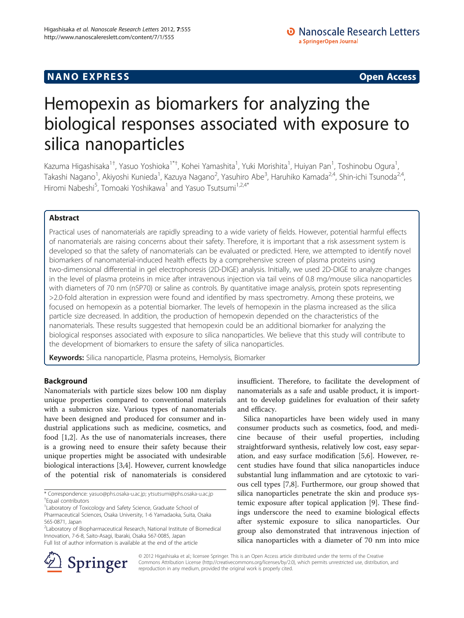# **NANO EXPRESS** Open Access **CONTROL**

# Hemopexin as biomarkers for analyzing the biological responses associated with exposure to silica nanoparticles

Kazuma Higashisaka<sup>1†</sup>, Yasuo Yoshioka<sup>1\*†</sup>, Kohei Yamashita<sup>1</sup>, Yuki Morishita<sup>1</sup>, Huiyan Pan<sup>1</sup>, Toshinobu Ogura<sup>1</sup> , Takashi Nagano<sup>1</sup>, Akiyoshi Kunieda<sup>1</sup>, Kazuya Nagano<sup>2</sup>, Yasuhiro Abe<sup>3</sup>, Haruhiko Kamada<sup>2,4</sup>, Shin-ichi Tsunoda<sup>2,4</sup>, Hiromi Nabeshi<sup>5</sup>, Tomoaki Yoshikawa<sup>1</sup> and Yasuo Tsutsumi<sup>1,2,4\*</sup>

# Abstract

Practical uses of nanomaterials are rapidly spreading to a wide variety of fields. However, potential harmful effects of nanomaterials are raising concerns about their safety. Therefore, it is important that a risk assessment system is developed so that the safety of nanomaterials can be evaluated or predicted. Here, we attempted to identify novel biomarkers of nanomaterial-induced health effects by a comprehensive screen of plasma proteins using two-dimensional differential in gel electrophoresis (2D-DIGE) analysis. Initially, we used 2D-DIGE to analyze changes in the level of plasma proteins in mice after intravenous injection via tail veins of 0.8 mg/mouse silica nanoparticles with diameters of 70 nm (nSP70) or saline as controls. By quantitative image analysis, protein spots representing >2.0-fold alteration in expression were found and identified by mass spectrometry. Among these proteins, we focused on hemopexin as a potential biomarker. The levels of hemopexin in the plasma increased as the silica particle size decreased. In addition, the production of hemopexin depended on the characteristics of the nanomaterials. These results suggested that hemopexin could be an additional biomarker for analyzing the biological responses associated with exposure to silica nanoparticles. We believe that this study will contribute to the development of biomarkers to ensure the safety of silica nanoparticles.

Keywords: Silica nanoparticle, Plasma proteins, Hemolysis, Biomarker

# Background

Nanomaterials with particle sizes below 100 nm display unique properties compared to conventional materials with a submicron size. Various types of nanomaterials have been designed and produced for consumer and industrial applications such as medicine, cosmetics, and food [\[1,2](#page-7-0)]. As the use of nanomaterials increases, there is a growing need to ensure their safety because their unique properties might be associated with undesirable biological interactions [[3,4\]](#page-7-0). However, current knowledge of the potential risk of nanomaterials is considered

2 Laboratory of Biopharmaceutical Research, National Institute of Biomedical Innovation, 7-6-8, Saito-Asagi, Ibaraki, Osaka 567-0085, Japan Full list of author information is available at the end of the article

insufficient. Therefore, to facilitate the development of nanomaterials as a safe and usable product, it is important to develop guidelines for evaluation of their safety and efficacy.

Silica nanoparticles have been widely used in many consumer products such as cosmetics, food, and medicine because of their useful properties, including straightforward synthesis, relatively low cost, easy separation, and easy surface modification [\[5](#page-7-0),[6](#page-7-0)]. However, recent studies have found that silica nanoparticles induce substantial lung inflammation and are cytotoxic to various cell types [\[7,8](#page-7-0)]. Furthermore, our group showed that silica nanoparticles penetrate the skin and produce systemic exposure after topical application [[9\]](#page-7-0). These findings underscore the need to examine biological effects after systemic exposure to silica nanoparticles. Our group also demonstrated that intravenous injection of silica nanoparticles with a diameter of 70 nm into mice



© 2012 Higashisaka et al.; licensee Springer. This is an Open Access article distributed under the terms of the Creative Commons Attribution License (<http://creativecommons.org/licenses/by/2.0>), which permits unrestricted use, distribution, and reproduction in any medium, provided the original work is properly cited.

<sup>\*</sup> Correspondence: [yasuo@phs.osaka-u.ac.jp;](mailto:yasuo@phs.osaka--.ac.jp) [ytsutsumi@phs.osaka-u.ac.jp](mailto:ytsutsumi@phs.osaka--.ac.jp) † Equal contributors

<sup>&</sup>lt;sup>1</sup> Laboratory of Toxicology and Safety Science, Graduate School of Pharmaceutical Sciences, Osaka University, 1-6 Yamadaoka, Suita, Osaka 565-0871, Japan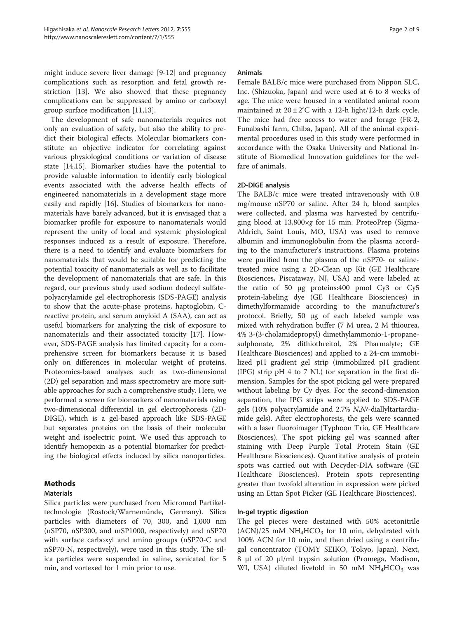might induce severe liver damage [\[9](#page-7-0)-[12\]](#page-7-0) and pregnancy complications such as resorption and fetal growth restriction [[13](#page-7-0)]. We also showed that these pregnancy complications can be suppressed by amino or carboxyl group surface modification [\[11,13\]](#page-7-0).

The development of safe nanomaterials requires not only an evaluation of safety, but also the ability to predict their biological effects. Molecular biomarkers constitute an objective indicator for correlating against various physiological conditions or variation of disease state [\[14,15\]](#page-7-0). Biomarker studies have the potential to provide valuable information to identify early biological events associated with the adverse health effects of engineered nanomaterials in a development stage more easily and rapidly [[16\]](#page-7-0). Studies of biomarkers for nanomaterials have barely advanced, but it is envisaged that a biomarker profile for exposure to nanomaterials would represent the unity of local and systemic physiological responses induced as a result of exposure. Therefore, there is a need to identify and evaluate biomarkers for nanomaterials that would be suitable for predicting the potential toxicity of nanomaterials as well as to facilitate the development of nanomaterials that are safe. In this regard, our previous study used sodium dodecyl sulfatepolyacrylamide gel electrophoresis (SDS-PAGE) analysis to show that the acute-phase proteins, haptoglobin, Creactive protein, and serum amyloid A (SAA), can act as useful biomarkers for analyzing the risk of exposure to nanomaterials and their associated toxicity [\[17](#page-7-0)]. However, SDS-PAGE analysis has limited capacity for a comprehensive screen for biomarkers because it is based only on differences in molecular weight of proteins. Proteomics-based analyses such as two-dimensional (2D) gel separation and mass spectrometry are more suitable approaches for such a comprehensive study. Here, we performed a screen for biomarkers of nanomaterials using two-dimensional differential in gel electrophoresis (2D-DIGE), which is a gel-based approach like SDS-PAGE but separates proteins on the basis of their molecular weight and isoelectric point. We used this approach to identify hemopexin as a potential biomarker for predicting the biological effects induced by silica nanoparticles.

### Methods

#### Materials

Silica particles were purchased from Micromod Partikeltechnologie (Rostock/Warnemünde, Germany). Silica particles with diameters of 70, 300, and 1,000 nm (nSP70, nSP300, and mSP1000, respectively) and nSP70 with surface carboxyl and amino groups (nSP70-C and nSP70-N, respectively), were used in this study. The silica particles were suspended in saline, sonicated for 5 min, and vortexed for 1 min prior to use.

#### Animals

Female BALB/c mice were purchased from Nippon SLC, Inc. (Shizuoka, Japan) and were used at 6 to 8 weeks of age. The mice were housed in a ventilated animal room maintained at  $20 \pm 2^{\circ}$ C with a 12-h light/12-h dark cycle. The mice had free access to water and forage (FR-2, Funabashi farm, Chiba, Japan). All of the animal experimental procedures used in this study were performed in accordance with the Osaka University and National Institute of Biomedical Innovation guidelines for the welfare of animals.

# 2D-DIGE analysis

The BALB/c mice were treated intravenously with 0.8 mg/mouse nSP70 or saline. After 24 h, blood samples were collected, and plasma was harvested by centrifuging blood at 13,800×g for 15 min. ProteoPrep (Sigma-Aldrich, Saint Louis, MO, USA) was used to remove albumin and immunoglobulin from the plasma according to the manufacturer's instructions. Plasma proteins were purified from the plasma of the nSP70- or salinetreated mice using a 2D-Clean up Kit (GE Healthcare Biosciences, Piscataway, NJ, USA) and were labeled at the ratio of 50 μg proteins:400 pmol Cy3 or Cy5 protein-labeling dye (GE Healthcare Biosciences) in dimethylformamide according to the manufacturer's protocol. Briefly, 50 μg of each labeled sample was mixed with rehydration buffer (7 M urea, 2 M thiourea, 4% 3-(3-cholamidepropyl) dimethylammonio-1-propanesulphonate, 2% dithiothreitol, 2% Pharmalyte; GE Healthcare Biosciences) and applied to a 24-cm immobilized pH gradient gel strip (immobilized pH gradient (IPG) strip pH 4 to 7 NL) for separation in the first dimension. Samples for the spot picking gel were prepared without labeling by Cy dyes. For the second-dimension separation, the IPG strips were applied to SDS-PAGE gels (10% polyacrylamide and 2.7%  $N$ , $N$ -diallyltartardiamide gels). After electrophoresis, the gels were scanned with a laser fluoroimager (Typhoon Trio, GE Healthcare Biosciences). The spot picking gel was scanned after staining with Deep Purple Total Protein Stain (GE Healthcare Biosciences). Quantitative analysis of protein spots was carried out with Decyder-DIA software (GE Healthcare Biosciences). Protein spots representing greater than twofold alteration in expression were picked using an Ettan Spot Picker (GE Healthcare Biosciences).

#### In-gel tryptic digestion

The gel pieces were destained with 50% acetonitrile  $(ACN)/25$  mM NH<sub>4</sub>HCO<sub>3</sub> for 10 min, dehydrated with 100% ACN for 10 min, and then dried using a centrifugal concentrator (TOMY SEIKO, Tokyo, Japan). Next, 8 μl of 20 μl/ml trypsin solution (Promega, Madison, WI, USA) diluted fivefold in 50 mM  $NH_4HCO_3$  was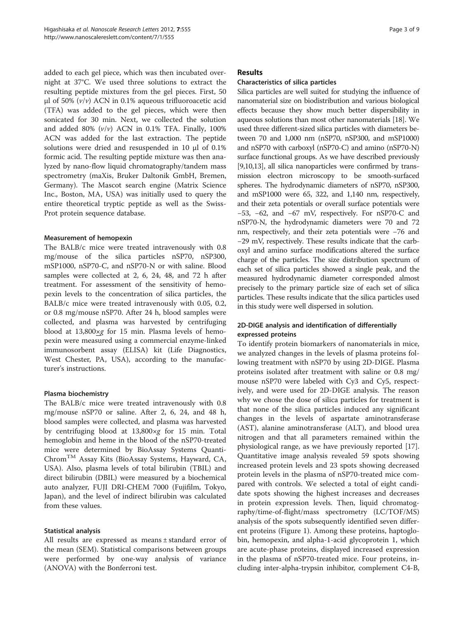added to each gel piece, which was then incubated overnight at 37°C. We used three solutions to extract the resulting peptide mixtures from the gel pieces. First, 50 μl of 50%  $(v/v)$  ACN in 0.1% aqueous trifluoroacetic acid (TFA) was added to the gel pieces, which were then sonicated for 30 min. Next, we collected the solution and added 80%  $(v/v)$  ACN in 0.1% TFA. Finally, 100% ACN was added for the last extraction. The peptide solutions were dried and resuspended in 10 μl of 0.1% formic acid. The resulting peptide mixture was then analyzed by nano-flow liquid chromatography/tandem mass spectrometry (maXis, Bruker Daltonik GmbH, Bremen, Germany). The Mascot search engine (Matrix Science Inc., Boston, MA, USA) was initially used to query the entire theoretical tryptic peptide as well as the Swiss-Prot protein sequence database.

#### Measurement of hemopexin

The BALB/c mice were treated intravenously with 0.8 mg/mouse of the silica particles nSP70, nSP300, mSP1000, nSP70-C, and nSP70-N or with saline. Blood samples were collected at 2, 6, 24, 48, and 72 h after treatment. For assessment of the sensitivity of hemopexin levels to the concentration of silica particles, the BALB/c mice were treated intravenously with 0.05, 0.2, or 0.8 mg/mouse nSP70. After 24 h, blood samples were collected, and plasma was harvested by centrifuging blood at 13,800×g for 15 min. Plasma levels of hemopexin were measured using a commercial enzyme-linked immunosorbent assay (ELISA) kit (Life Diagnostics, West Chester, PA, USA), according to the manufacturer's instructions.

#### Plasma biochemistry

The BALB/c mice were treated intravenously with 0.8 mg/mouse nSP70 or saline. After 2, 6, 24, and 48 h, blood samples were collected, and plasma was harvested by centrifuging blood at 13,800×g for 15 min. Total hemoglobin and heme in the blood of the nSP70-treated mice were determined by BioAssay Systems Quanti-ChromTM Assay Kits (BioAssay Systems, Hayward, CA, USA). Also, plasma levels of total bilirubin (TBIL) and direct bilirubin (DBIL) were measured by a biochemical auto analyzer, FUJI DRI-CHEM 7000 (Fujifilm, Tokyo, Japan), and the level of indirect bilirubin was calculated from these values.

#### Statistical analysis

All results are expressed as means ± standard error of the mean (SEM). Statistical comparisons between groups were performed by one-way analysis of variance (ANOVA) with the Bonferroni test.

#### **Results**

#### Characteristics of silica particles

Silica particles are well suited for studying the influence of nanomaterial size on biodistribution and various biological effects because they show much better dispersibility in aqueous solutions than most other nanomaterials [\[18](#page-7-0)]. We used three different-sized silica particles with diameters between 70 and 1,000 nm (nSP70, nSP300, and mSP1000) and nSP70 with carboxyl (nSP70-C) and amino (nSP70-N) surface functional groups. As we have described previously [[9,10,13\]](#page-7-0), all silica nanoparticles were confirmed by transmission electron microscopy to be smooth-surfaced spheres. The hydrodynamic diameters of nSP70, nSP300, and mSP1000 were 65, 322, and 1,140 nm, respectively, and their zeta potentials or overall surface potentials were −53, −62, and −67 mV, respectively. For nSP70-C and nSP70-N, the hydrodynamic diameters were 70 and 72 nm, respectively, and their zeta potentials were −76 and −29 mV, respectively. These results indicate that the carboxyl and amino surface modifications altered the surface charge of the particles. The size distribution spectrum of each set of silica particles showed a single peak, and the measured hydrodynamic diameter corresponded almost precisely to the primary particle size of each set of silica particles. These results indicate that the silica particles used in this study were well dispersed in solution.

# 2D-DIGE analysis and identification of differentially expressed proteins

To identify protein biomarkers of nanomaterials in mice, we analyzed changes in the levels of plasma proteins following treatment with nSP70 by using 2D-DIGE. Plasma proteins isolated after treatment with saline or 0.8 mg/ mouse nSP70 were labeled with Cy3 and Cy5, respectively, and were used for 2D-DIGE analysis. The reason why we chose the dose of silica particles for treatment is that none of the silica particles induced any significant changes in the levels of aspartate aminotransferase (AST), alanine aminotransferase (ALT), and blood urea nitrogen and that all parameters remained within the physiological range, as we have previously reported [\[17](#page-7-0)]. Quantitative image analysis revealed 59 spots showing increased protein levels and 23 spots showing decreased protein levels in the plasma of nSP70-treated mice compared with controls. We selected a total of eight candidate spots showing the highest increases and decreases in protein expression levels. Then, liquid chromatography/time-of-flight/mass spectrometry (LC/TOF/MS) analysis of the spots subsequently identified seven different proteins (Figure [1](#page-3-0)). Among these proteins, haptoglobin, hemopexin, and alpha-1-acid glycoprotein 1, which are acute-phase proteins, displayed increased expression in the plasma of nSP70-treated mice. Four proteins, including inter-alpha-trypsin inhibitor, complement C4-B,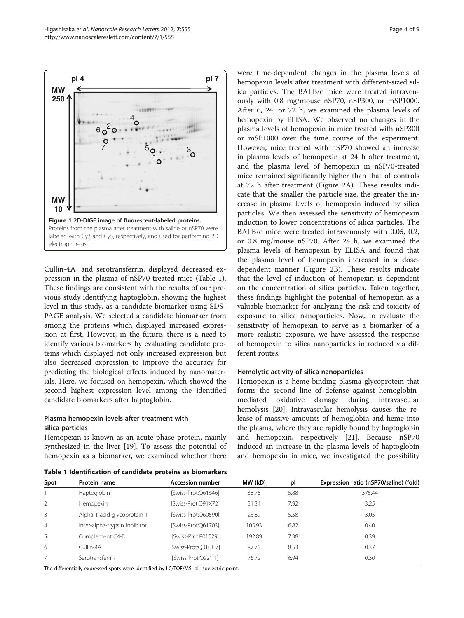<span id="page-3-0"></span>

Cullin-4A, and serotransferrin, displayed decreased expression in the plasma of nSP70-treated mice (Table 1). These findings are consistent with the results of our previous study identifying haptoglobin, showing the highest level in this study, as a candidate biomarker using SDS-PAGE analysis. We selected a candidate biomarker from among the proteins which displayed increased expression at first. However, in the future, there is a need to identify various biomarkers by evaluating candidate proteins which displayed not only increased expression but also decreased expression to improve the accuracy for predicting the biological effects induced by nanomaterials. Here, we focused on hemopexin, which showed the second highest expression level among the identified candidate biomarkers after haptoglobin.

### Plasma hemopexin levels after treatment with silica particles

Hemopexin is known as an acute-phase protein, mainly synthesized in the liver [[19\]](#page-7-0). To assess the potential of hemopexin as a biomarker, we examined whether there

Table 1 Identification of candidate proteins as biomarkers

were time-dependent changes in the plasma levels of hemopexin levels after treatment with different-sized silica particles. The BALB/c mice were treated intravenously with 0.8 mg/mouse nSP70, nSP300, or mSP1000. After 6, 24, or 72 h, we examined the plasma levels of hemopexin by ELISA. We observed no changes in the plasma levels of hemopexin in mice treated with nSP300 or mSP1000 over the time course of the experiment. However, mice treated with nSP70 showed an increase in plasma levels of hemopexin at 24 h after treatment, and the plasma level of hemopexin in nSP70-treated mice remained significantly higher than that of controls at 72 h after treatment (Figure [2A\)](#page-4-0). These results indicate that the smaller the particle size, the greater the increase in plasma levels of hemopexin induced by silica particles. We then assessed the sensitivity of hemopexin induction to lower concentrations of silica particles. The BALB/c mice were treated intravenously with 0.05, 0.2, or 0.8 mg/mouse nSP70. After 24 h, we examined the plasma levels of hemopexin by ELISA and found that the plasma level of hemopexin increased in a dosedependent manner (Figure [2B](#page-4-0)). These results indicate that the level of induction of hemopexin is dependent on the concentration of silica particles. Taken together, these findings highlight the potential of hemopexin as a valuable biomarker for analyzing the risk and toxicity of exposure to silica nanoparticles. Now, to evaluate the sensitivity of hemopexin to serve as a biomarker of a more realistic exposure, we have assessed the response of hemopexin to silica nanoparticles introduced via different routes.

#### Hemolytic activity of silica nanoparticles

Hemopexin is a heme-binding plasma glycoprotein that forms the second line of defense against hemoglobinmediated oxidative damage during intravascular hemolysis [\[20](#page-7-0)]. Intravascular hemolysis causes the release of massive amounts of hemoglobin and heme into the plasma, where they are rapidly bound by haptoglobin and hemopexin, respectively [\[21](#page-8-0)]. Because nSP70 induced an increase in the plasma levels of haptoglobin and hemopexin in mice, we investigated the possibility

| Spot           | Protein name                  | <b>Accession number</b> | MW (kD) | pl   | Expression ratio (nSP70/saline) (fold) |
|----------------|-------------------------------|-------------------------|---------|------|----------------------------------------|
|                | Haptoglobin                   | [Swiss-Prot:Q61646]     | 38.75   | 5.88 | 375.44                                 |
| 2              | Hemopexin                     | [Swiss-Prot:Q91X72]     | 51.34   | 7.92 | 3.25                                   |
| 3              | Alpha-1-acid glycoprotein 1   | [Swiss-Prot:Q60590]     | 23.89   | 5.58 | 3.05                                   |
| $\overline{4}$ | Inter-alpha-trypsin inhibitor | [Swiss-Prot:Q61703]     | 105.93  | 6.82 | 0.40                                   |
| 5              | Complement C4-B               | [Swiss-Prot:P01029]     | 192.89  | 7.38 | 0.39                                   |
| 6              | Cullin-4A                     | [Swiss-Prot:Q3TCH7]     | 87.75   | 8.53 | 0.37                                   |
|                | Serotransferrin               | [Swiss-Prot:Q92111]     | 76.72   | 6.94 | 0.30                                   |
|                |                               |                         |         |      |                                        |

The differentially expressed spots were identified by LC/TOF/MS. pI, isoelectric point.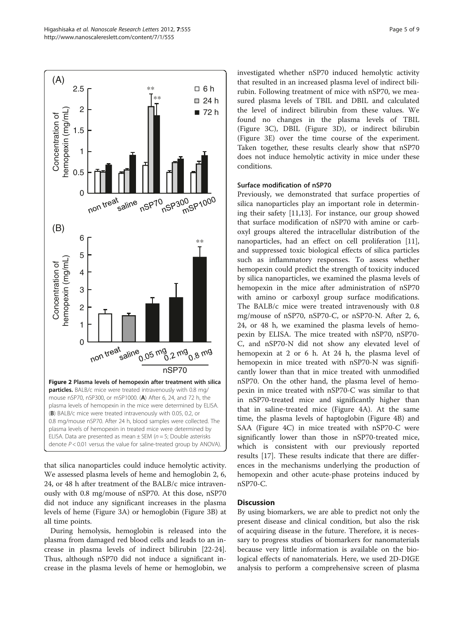<span id="page-4-0"></span>

that silica nanoparticles could induce hemolytic activity. We assessed plasma levels of heme and hemoglobin 2, 6, 24, or 48 h after treatment of the BALB/c mice intravenously with 0.8 mg/mouse of nSP70. At this dose, nSP70 did not induce any significant increases in the plasma levels of heme (Figure [3A](#page-5-0)) or hemoglobin (Figure [3B\)](#page-5-0) at all time points.

During hemolysis, hemoglobin is released into the plasma from damaged red blood cells and leads to an increase in plasma levels of indirect bilirubin [\[22-24](#page-8-0)]. Thus, although nSP70 did not induce a significant increase in the plasma levels of heme or hemoglobin, we investigated whether nSP70 induced hemolytic activity that resulted in an increased plasma level of indirect bilirubin. Following treatment of mice with nSP70, we measured plasma levels of TBIL and DBIL and calculated the level of indirect bilirubin from these values. We found no changes in the plasma levels of TBIL (Figure [3C\)](#page-5-0), DBIL (Figure [3D\)](#page-5-0), or indirect bilirubin (Figure [3E\)](#page-5-0) over the time course of the experiment. Taken together, these results clearly show that nSP70 does not induce hemolytic activity in mice under these conditions.

#### Surface modification of nSP70

Previously, we demonstrated that surface properties of silica nanoparticles play an important role in determining their safety [\[11,13\]](#page-7-0). For instance, our group showed that surface modification of nSP70 with amine or carboxyl groups altered the intracellular distribution of the nanoparticles, had an effect on cell proliferation [\[11](#page-7-0)], and suppressed toxic biological effects of silica particles such as inflammatory responses. To assess whether hemopexin could predict the strength of toxicity induced by silica nanoparticles, we examined the plasma levels of hemopexin in the mice after administration of nSP70 with amino or carboxyl group surface modifications. The BALB/c mice were treated intravenously with 0.8 mg/mouse of nSP70, nSP70-C, or nSP70-N. After 2, 6, 24, or 48 h, we examined the plasma levels of hemopexin by ELISA. The mice treated with nSP70, nSP70- C, and nSP70-N did not show any elevated level of hemopexin at 2 or 6 h. At 24 h, the plasma level of hemopexin in mice treated with nSP70-N was significantly lower than that in mice treated with unmodified nSP70. On the other hand, the plasma level of hemopexin in mice treated with nSP70-C was similar to that in nSP70-treated mice and significantly higher than that in saline-treated mice (Figure [4A](#page-6-0)). At the same time, the plasma levels of haptoglobin (Figure [4B](#page-6-0)) and SAA (Figure [4C\)](#page-6-0) in mice treated with nSP70-C were significantly lower than those in nSP70-treated mice, which is consistent with our previously reported results [[17](#page-7-0)]. These results indicate that there are differences in the mechanisms underlying the production of hemopexin and other acute-phase proteins induced by nSP70-C.

#### **Discussion**

By using biomarkers, we are able to predict not only the present disease and clinical condition, but also the risk of acquiring disease in the future. Therefore, it is necessary to progress studies of biomarkers for nanomaterials because very little information is available on the biological effects of nanomaterials. Here, we used 2D-DIGE analysis to perform a comprehensive screen of plasma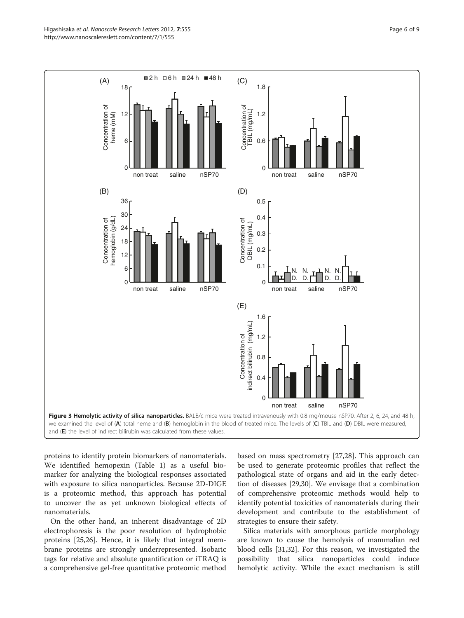<span id="page-5-0"></span>

proteins to identify protein biomarkers of nanomaterials. We identified hemopexin (Table [1\)](#page-3-0) as a useful biomarker for analyzing the biological responses associated with exposure to silica nanoparticles. Because 2D-DIGE is a proteomic method, this approach has potential to uncover the as yet unknown biological effects of nanomaterials.

On the other hand, an inherent disadvantage of 2D electrophoresis is the poor resolution of hydrophobic proteins [[25,26\]](#page-8-0). Hence, it is likely that integral membrane proteins are strongly underrepresented. Isobaric tags for relative and absolute quantification or iTRAQ is a comprehensive gel-free quantitative proteomic method

based on mass spectrometry [\[27,28](#page-8-0)]. This approach can be used to generate proteomic profiles that reflect the pathological state of organs and aid in the early detection of diseases [[29,30](#page-8-0)]. We envisage that a combination of comprehensive proteomic methods would help to identify potential toxicities of nanomaterials during their development and contribute to the establishment of strategies to ensure their safety.

Silica materials with amorphous particle morphology are known to cause the hemolysis of mammalian red blood cells [[31,32\]](#page-8-0). For this reason, we investigated the possibility that silica nanoparticles could induce hemolytic activity. While the exact mechanism is still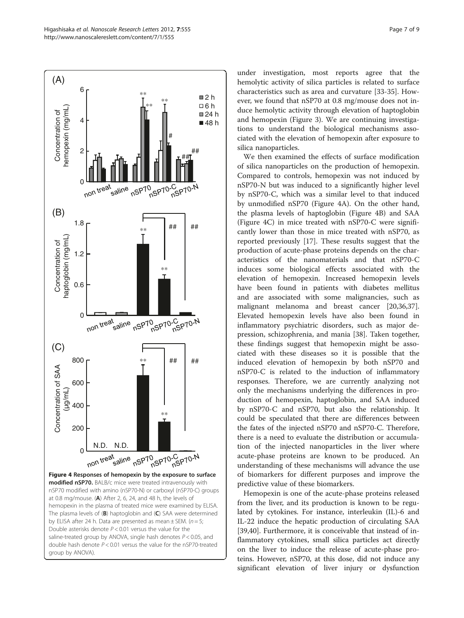$\Omega$ 

 $\Omega$ 

N.D. N.D.

200

400

Concentration of SAA (µg/mL)

Concentration of SAA

(C)

600

800

0.6

1.2

Concentration of haptoglobin (mg/mL)

naptoglobin (mg/mL) Concentration of

(B)

<span id="page-6-0"></span> $(A)$ 

Concentration of hemopexin (mg/mL)

nemopexin (mg/mL) Concentration of

1.8

2

4

6

non treat

under investigation, most reports agree that the hemolytic activity of silica particles is related to surface characteristics such as area and curvature [[33-35\]](#page-8-0). However, we found that nSP70 at 0.8 mg/mouse does not induce hemolytic activity through elevation of haptoglobin and hemopexin (Figure [3](#page-5-0)). We are continuing investigations to understand the biological mechanisms associated with the elevation of hemopexin after exposure to silica nanoparticles.

We then examined the effects of surface modification of silica nanoparticles on the production of hemopexin. Compared to controls, hemopexin was not induced by nSP70-N but was induced to a significantly higher level by nSP70-C, which was a similar level to that induced by unmodified nSP70 (Figure 4A). On the other hand, the plasma levels of haptoglobin (Figure 4B) and SAA (Figure 4C) in mice treated with nSP70-C were significantly lower than those in mice treated with nSP70, as reported previously [[17\]](#page-7-0). These results suggest that the production of acute-phase proteins depends on the characteristics of the nanomaterials and that nSP70-C induces some biological effects associated with the elevation of hemopexin. Increased hemopexin levels have been found in patients with diabetes mellitus and are associated with some malignancies, such as malignant melanoma and breast cancer [[20](#page-7-0)[,36,37](#page-8-0)]. Elevated hemopexin levels have also been found in inflammatory psychiatric disorders, such as major depression, schizophrenia, and mania [\[38](#page-8-0)]. Taken together, these findings suggest that hemopexin might be associated with these diseases so it is possible that the induced elevation of hemopexin by both nSP70 and nSP70-C is related to the induction of inflammatory responses. Therefore, we are currently analyzing not only the mechanisms underlying the differences in production of hemopexin, haptoglobin, and SAA induced by nSP70-C and nSP70, but also the relationship. It could be speculated that there are differences between the fates of the injected nSP70 and nSP70-C. Therefore, there is a need to evaluate the distribution or accumulation of the injected nanoparticles in the liver where acute-phase proteins are known to be produced. An understanding of these mechanisms will advance the use of biomarkers for different purposes and improve the predictive value of these biomarkers.

Hemopexin is one of the acute-phase proteins released from the liver, and its production is known to be regulated by cytokines. For instance, interleukin (IL)-6 and IL-22 induce the hepatic production of circulating SAA [[39,40\]](#page-8-0). Furthermore, it is conceivable that instead of inflammatory cytokines, small silica particles act directly on the liver to induce the release of acute-phase proteins. However, nSP70, at this dose, did not induce any significant elevation of liver injury or dysfunction



∗∗

∗∗

## ##

## ##

#

0 SP70-C p70-N

 $2h$  $\Box$  6 h  $\blacksquare$  24 h ■48 h

## ##

∗∗

non treat saline nSP70 pSP70-C p70-N

∗∗

nsp10

t<br>saline

∗∗

∗∗ ∗∗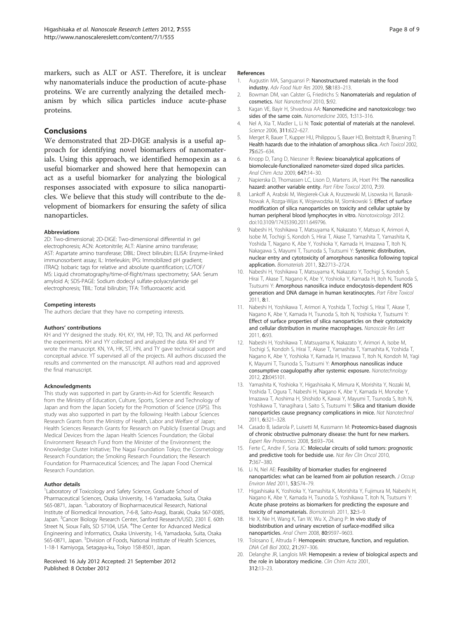<span id="page-7-0"></span>markers, such as ALT or AST. Therefore, it is unclear why nanomaterials induce the production of acute-phase proteins. We are currently analyzing the detailed mechanism by which silica particles induce acute-phase proteins.

#### Conclusions

We demonstrated that 2D-DIGE analysis is a useful approach for identifying novel biomarkers of nanomaterials. Using this approach, we identified hemopexin as a useful biomarker and showed here that hemopexin can act as a useful biomarker for analyzing the biological responses associated with exposure to silica nanoparticles. We believe that this study will contribute to the development of biomarkers for ensuring the safety of silica nanoparticles.

#### Abbreviations

2D: Two-dimensional; 2D-DIGE: Two-dimensional differential in gel electrophoresis; ACN: Acetonitrile; ALT: Alanine amino transferase; AST: Aspartate amino transferase; DBIL: Direct bilirubin; ELISA: Enzyme-linked immunosorbent assay; IL: Interleukin; IPG: Immobilized pH gradient; iTRAQ: Isobaric tags for relative and absolute quantification; LC/TOF/ MS: Liquid chromatography/time-of-flight/mass spectrometry; SAA: Serum amyloid A; SDS-PAGE: Sodium dodecyl sulfate-polyacrylamide gel electrophoresis; TBIL: Total bilirubin; TFA: Trifluoroacetic acid.

#### Competing interests

The authors declare that they have no competing interests.

#### Authors' contributions

KH and YY designed the study. KH, KY, YM, HP, TO, TN, and AK performed the experiments. KH and YY collected and analyzed the data. KH and YY wrote the manuscript. KN, YA, HK, ST, HN, and TY gave technical support and conceptual advice. YT supervised all of the projects. All authors discussed the results and commented on the manuscript. All authors read and approved the final manuscript.

#### Acknowledgments

This study was supported in part by Grants-in-Aid for Scientific Research from the Ministry of Education, Culture, Sports, Science and Technology of Japan and from the Japan Society for the Promotion of Science (JSPS). This study was also supported in part by the following: Health Labour Sciences Research Grants from the Ministry of Health, Labor and Welfare of Japan; Health Sciences Research Grants for Research on Publicly Essential Drugs and Medical Devices from the Japan Health Sciences Foundation; the Global Environment Research Fund from the Minister of the Environment; the Knowledge Cluster Initiative; The Nagai Foundation Tokyo; the Cosmetology Research Foundation; the Smoking Research Foundation; the Research Foundation for Pharmaceutical Sciences; and The Japan Food Chemical Research Foundation.

#### Author details

<sup>1</sup> Laboratory of Toxicology and Safety Science, Graduate School of Pharmaceutical Sciences, Osaka University, 1-6 Yamadaoka, Suita, Osaka 565-0871, Japan. <sup>2</sup>Laboratory of Biopharmaceutical Research, National Institute of Biomedical Innovation, 7-6-8, Saito-Asagi, Ibaraki, Osaka 567-0085, Japan. <sup>3</sup>Cancer Biology Research Center, Sanford Research/USD, 2301 E. 60th Street N, Sioux Falls, SD 57104, USA. <sup>4</sup>The Center for Advanced Medical Engineering and Informatics, Osaka University, 1-6, Yamadaoka, Suita, Osaka 565-0871, Japan. <sup>5</sup>Division of Foods, National Institute of Health Sciences, 1-18-1 Kamiyoga, Setagaya-ku, Tokyo 158-8501, Japan.

#### Received: 16 July 2012 Accepted: 21 September 2012 Published: 8 October 2012

#### References

- Augustin MA, Sanguansri P: Nanostructured materials in the food industry. Adv Food Nutr Res 2009, 58:183–213.
- Bowman DM, van Calster G, Friedrichs S: Nanomaterials and regulation of cosmetics. Nat Nanotechnol 2010, 5:92.
- 3. Kagan VE, Bayir H, Shvedova AA: Nanomedicine and nanotoxicology: two sides of the same coin. Nanomedicine 2005, 1:313-316.
- 4. Nel A, Xia T, Madler L, Li N: Toxic potential of materials at the nanolevel. Science 2006, 311:622–627.
- 5. Merget R, Bauer T, Kupper HU, Philippou S, Bauer HD, Breitstadt R, Bruening T: Health hazards due to the inhalation of amorphous silica. Arch Toxicol 2002, 75:625–634.
- 6. Knopp D, Tang D, Niessner R: Review: bioanalytical applications of biomolecule-functionalized nanometer-sized doped silica particles. Anal Chim Acta 2009, 647:14–30.
- 7. Napierska D, Thomassen LC, Lison D, Martens JA, Hoet PH: The nanosilica hazard: another variable entity. Part Fibre Toxicol 2010, 7:39.
- 8. Lankoff A, Arabski M, Wegierek-Ciuk A, Kruszewski M, Lisowska H, Banasik-Nowak A, Rozga-Wijas K, Wojewodzka M, Slomkowski S: Effect of surface modification of silica nanoparticles on toxicity and cellular uptake by human peripheral blood lymphocytes in vitro. Nanotoxicology 2012. doi[:10.3109/17435390.2011.649796.](http://dx.doi.org/10.3109/17435390.2011.649796)
- 9. Nabeshi H, Yoshikawa T, Matsuyama K, Nakazato Y, Matsuo K, Arimori A, Isobe M, Tochigi S, Kondoh S, Hirai T, Akase T, Yamashita T, Yamashita K, Yoshida T, Nagano K, Abe Y, Yoshioka Y, Kamada H, Imazawa T, Itoh N, Nakagawa S, Mayumi T, Tsunoda S, Tsutsumi Y: Systemic distribution, nuclear entry and cytotoxicity of amorphous nanosilica following topical application. Biomaterials 2011, 32:2713–2724.
- 10. Nabeshi H, Yoshikawa T, Matsuyama K, Nakazato Y, Tochigi S, Kondoh S, Hirai T, Akase T, Nagano K, Abe Y, Yoshioka Y, Kamada H, Itoh N, Tsunoda S, Tsutsumi Y: Amorphous nanosilica induce endocytosis-dependent ROS generation and DNA damage in human keratinocytes. Part Fibre Toxicol 2011, 8:1.
- 11. Nabeshi H, Yoshikawa T, Arimori A, Yoshida T, Tochigi S, Hirai T, Akase T, Nagano K, Abe Y, Kamada H, Tsunoda S, Itoh N, Yoshioka Y, Tsutsumi Y: Effect of surface properties of silica nanoparticles on their cytotoxicity and cellular distribution in murine macrophages. Nanoscale Res Lett 2011, 6:93.
- 12. Nabeshi H, Yoshikawa T, Matsuyama K, Nakazato Y, Arimori A, Isobe M, Tochigi S, Kondoh S, Hirai T, Akase T, Yamashita T, Yamashita K, Yoshida T, Nagano K, Abe Y, Yoshioka Y, Kamada H, Imazawa T, Itoh N, Kondoh M, Yagi K, Mayumi T, Tsunoda S, Tsutsumi Y: Amorphous nanosilicas induce consumptive coagulopathy after systemic exposure. Nanotechnology 2012, 23:045101.
- 13. Yamashita K, Yoshioka Y, Higashisaka K, Mimura K, Morishita Y, Nozaki M, Yoshida T, Ogura T, Nabeshi H, Nagano K, Abe Y, Kamada H, Monobe Y, Imazawa T, Aoshima H, Shishido K, Kawai Y, Mayumi T, Tsunoda S, Itoh N, Yoshikawa T, Yanagihara I, Saito S, Tsutsumi Y: Silica and titanium dioxide nanoparticles cause pregnancy complications in mice. Nat Nanotechnol 2011, 6:321–328.
- 14. Casado B, Iadarola P, Luisetti M, Kussmann M: Proteomics-based diagnosis of chronic obstructive pulmonary disease: the hunt for new markers. Expert Rev Proteomics 2008, 5:693–704.
- 15. Ferte C, Andre F, Soria JC: Molecular circuits of solid tumors: prognostic and predictive tools for bedside use. Nat Rev Clin Oncol 2010, 7:367–380.
- 16. Li N, Nel AE: Feasibility of biomarker studies for engineered nanoparticles: what can be learned from air pollution research. J Occup Environ Med 2011, 53:S74–79.
- 17. Higashisaka K, Yoshioka Y, Yamashita K, Morishita Y, Fujimura M, Nabeshi H, Nagano K, Abe Y, Kamada H, Tsunoda S, Yoshikawa T, Itoh N, Tsutsumi Y: Acute phase proteins as biomarkers for predicting the exposure and toxicity of nanomaterials. Biomaterials 2011, 32:3–9.
- 18. He X, Nie H, Wang K, Tan W, Wu X, Zhang P: In vivo study of biodistribution and urinary excretion of surface-modified silica nanoparticles. Anal Chem 2008, 80:9597–9603.
- 19. Tolosano E, Altruda F: Hemopexin: structure, function, and regulation. DNA Cell Biol 2002, 21:297–306.
- 20. Delanghe JR, Langlois MR: Hemopexin: a review of biological aspects and the role in laboratory medicine. Clin Chim Acta 2001, 312:13–23.